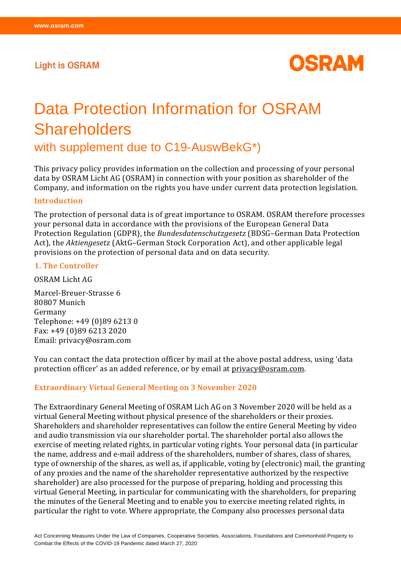## **Light is OSRAM**



# Data Protection Information for OSRAM **Shareholders**

with supplement due to C19-AuswBekG\*)

This privacy policy provides information on the collection and processing of your personal data by OSRAM Licht AG (OSRAM) in connection with your position as shareholder of the Company, and information on the rights you have under current data protection legislation.

#### **Introduction**

The protection of personal data is of great importance to OSRAM. OSRAM therefore processes your personal data in accordance with the provisions of the European General Data Protection Regulation (GDPR), the *Bundesdatenschutzgesetz* (BDSG–German Data Protection Act), the *Aktiengesetz* (AktG–German Stock Corporation Act), and other applicable legal provisions on the protection of personal data and on data security.

#### **1. The Controller**

OSRAM Licht AG

Marcel-Breuer-Strasse 6 80807 Munich Germany Telephone: +49 (0)89 6213 0 Fax: +49 (0)89 6213 2020 Email: privacy@osram.com

You can contact the data protection officer by mail at the above postal address, using 'data protection officer' as an added reference, or by email at [privacy@osram.com.](mailto:privacy@osram.com)

#### **Extraordinary Virtual General Meeting on 3 November 2020**

The Extraordinary General Meeting of OSRAM Lich AG on 3 November 2020 will be held as a virtual General Meeting without physical presence of the shareholders or their proxies. Shareholders and shareholder representatives can follow the entire General Meeting by video and audio transmission via our shareholder portal. The shareholder portal also allows the exercise of meeting related rights, in particular voting rights. Your personal data (in particular the name, address and e-mail address of the shareholders, number of shares, class of shares, type of ownership of the shares, as well as, if applicable, voting by (electronic) mail, the granting of any proxies and the name of the shareholder representative authorized by the respective shareholder) are also processed for the purpose of preparing, holding and processing this virtual General Meeting, in particular for communicating with the shareholders, for preparing the minutes of the General Meeting and to enable you to exercise meeting related rights, in particular the right to vote. Where appropriate, the Company also processes personal data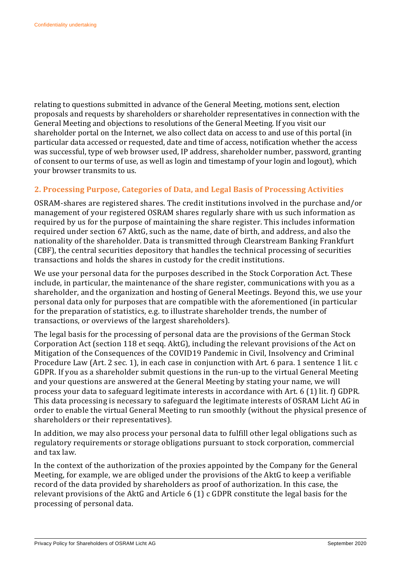relating to questions submitted in advance of the General Meeting, motions sent, election proposals and requests by shareholders or shareholder representatives in connection with the General Meeting and objections to resolutions of the General Meeting. If you visit our shareholder portal on the Internet, we also collect data on access to and use of this portal (in particular data accessed or requested, date and time of access, notification whether the access was successful, type of web browser used, IP address, shareholder number, password, granting of consent to our terms of use, as well as login and timestamp of your login and logout), which your browser transmits to us.

## **2. Processing Purpose, Categories of Data, and Legal Basis of Processing Activities**

OSRAM-shares are registered shares. The credit institutions involved in the purchase and/or management of your registered OSRAM shares regularly share with us such information as required by us for the purpose of maintaining the share register. This includes information required under section 67 AktG, such as the name, date of birth, and address, and also the nationality of the shareholder. Data is transmitted through Clearstream Banking Frankfurt (CBF), the central securities depository that handles the technical processing of securities transactions and holds the shares in custody for the credit institutions.

We use your personal data for the purposes described in the Stock Corporation Act. These include, in particular, the maintenance of the share register, communications with you as a shareholder, and the organization and hosting of General Meetings. Beyond this, we use your personal data only for purposes that are compatible with the aforementioned (in particular for the preparation of statistics, e.g. to illustrate shareholder trends, the number of transactions, or overviews of the largest shareholders).

The legal basis for the processing of personal data are the provisions of the German Stock Corporation Act (section 118 et seqq. AktG), including the relevant provisions of the Act on Mitigation of the Consequences of the COVID19 Pandemic in Civil, Insolvency and Criminal Procedure Law (Art. 2 sec. 1), in each case in conjunction with Art. 6 para. 1 sentence 1 lit. c GDPR. If you as a shareholder submit questions in the run-up to the virtual General Meeting and your questions are answered at the General Meeting by stating your name, we will process your data to safeguard legitimate interests in accordance with Art. 6 (1) lit. f) GDPR. This data processing is necessary to safeguard the legitimate interests of OSRAM Licht AG in order to enable the virtual General Meeting to run smoothly (without the physical presence of shareholders or their representatives).

In addition, we may also process your personal data to fulfill other legal obligations such as regulatory requirements or storage obligations pursuant to stock corporation, commercial and tax law.

In the context of the authorization of the proxies appointed by the Company for the General Meeting, for example, we are obliged under the provisions of the AktG to keep a verifiable record of the data provided by shareholders as proof of authorization. In this case, the relevant provisions of the AktG and Article 6 (1) c GDPR constitute the legal basis for the processing of personal data.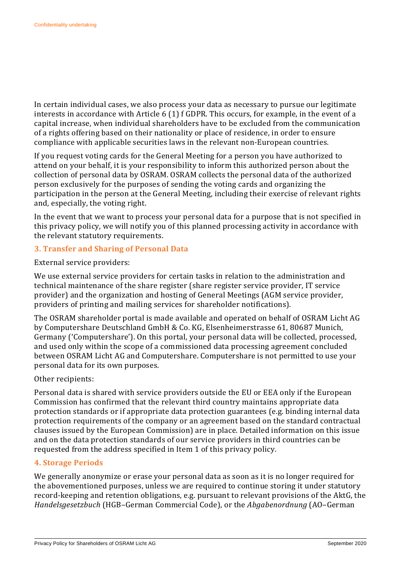In certain individual cases, we also process your data as necessary to pursue our legitimate interests in accordance with Article 6 (1) f GDPR. This occurs, for example, in the event of a capital increase, when individual shareholders have to be excluded from the communication of a rights offering based on their nationality or place of residence, in order to ensure compliance with applicable securities laws in the relevant non-European countries.

If you request voting cards for the General Meeting for a person you have authorized to attend on your behalf, it is your responsibility to inform this authorized person about the collection of personal data by OSRAM. OSRAM collects the personal data of the authorized person exclusively for the purposes of sending the voting cards and organizing the participation in the person at the General Meeting, including their exercise of relevant rights and, especially, the voting right.

In the event that we want to process your personal data for a purpose that is not specified in this privacy policy, we will notify you of this planned processing activity in accordance with the relevant statutory requirements.

## **3. Transfer and Sharing of Personal Data**

External service providers:

We use external service providers for certain tasks in relation to the administration and technical maintenance of the share register (share register service provider, IT service provider) and the organization and hosting of General Meetings (AGM service provider, providers of printing and mailing services for shareholder notifications).

The OSRAM shareholder portal is made available and operated on behalf of OSRAM Licht AG by Computershare Deutschland GmbH & Co. KG, Elsenheimerstrasse 61, 80687 Munich, Germany ('Computershare'). On this portal, your personal data will be collected, processed, and used only within the scope of a commissioned data processing agreement concluded between OSRAM Licht AG and Computershare. Computershare is not permitted to use your personal data for its own purposes.

#### Other recipients:

Personal data is shared with service providers outside the EU or EEA only if the European Commission has confirmed that the relevant third country maintains appropriate data protection standards or if appropriate data protection guarantees (e.g. binding internal data protection requirements of the company or an agreement based on the standard contractual clauses issued by the European Commission) are in place. Detailed information on this issue and on the data protection standards of our service providers in third countries can be requested from the address specified in Item 1 of this privacy policy.

## **4. Storage Periods**

We generally anonymize or erase your personal data as soon as it is no longer required for the abovementioned purposes, unless we are required to continue storing it under statutory record-keeping and retention obligations, e.g. pursuant to relevant provisions of the AktG, the *Handelsgesetzbuch* (HGB–German Commercial Code), or the *Abgabenordnung* (AO–German